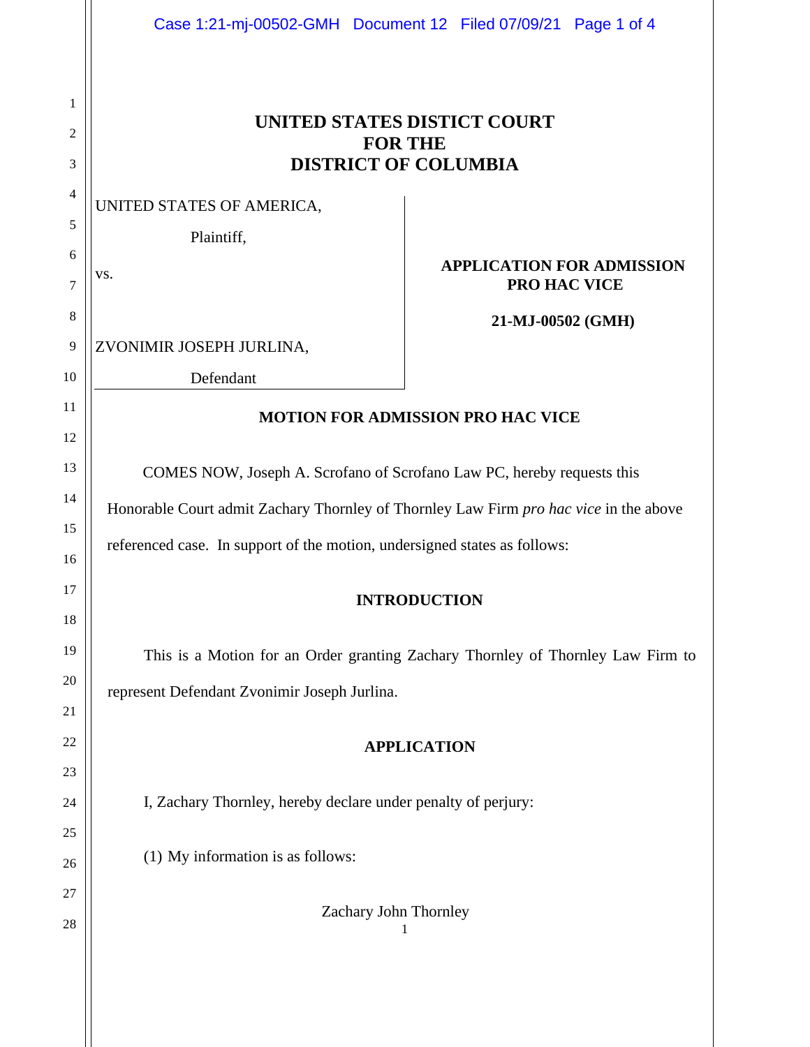|                | Case 1:21-mj-00502-GMH  Document 12  Filed 07/09/21  Page 1 of 4                      |                                                                                 |  |
|----------------|---------------------------------------------------------------------------------------|---------------------------------------------------------------------------------|--|
| 1              |                                                                                       |                                                                                 |  |
| 2              | UNITED STATES DISTICT COURT<br><b>FOR THE</b>                                         |                                                                                 |  |
| 3              | <b>DISTRICT OF COLUMBIA</b>                                                           |                                                                                 |  |
| $\overline{4}$ | UNITED STATES OF AMERICA,                                                             |                                                                                 |  |
| 5              | Plaintiff,                                                                            |                                                                                 |  |
| 6<br>7         | VS.                                                                                   | <b>APPLICATION FOR ADMISSION</b><br>PRO HAC VICE                                |  |
| 8              |                                                                                       | 21-MJ-00502 (GMH)                                                               |  |
| 9              | ZVONIMIR JOSEPH JURLINA,                                                              |                                                                                 |  |
| 10             | Defendant                                                                             |                                                                                 |  |
| 11             | <b>MOTION FOR ADMISSION PRO HAC VICE</b>                                              |                                                                                 |  |
| 12             |                                                                                       |                                                                                 |  |
| 13             | COMES NOW, Joseph A. Scrofano of Scrofano Law PC, hereby requests this                |                                                                                 |  |
| 14             | Honorable Court admit Zachary Thornley of Thornley Law Firm pro hac vice in the above |                                                                                 |  |
| 15             | referenced case. In support of the motion, undersigned states as follows:             |                                                                                 |  |
| 16<br>17       |                                                                                       |                                                                                 |  |
| 18             | <b>INTRODUCTION</b>                                                                   |                                                                                 |  |
| 19             |                                                                                       | This is a Motion for an Order granting Zachary Thornley of Thornley Law Firm to |  |
| 20             |                                                                                       |                                                                                 |  |
| 21             | represent Defendant Zvonimir Joseph Jurlina.                                          |                                                                                 |  |
| 22             | <b>APPLICATION</b>                                                                    |                                                                                 |  |
| 23             |                                                                                       |                                                                                 |  |
| 24             | I, Zachary Thornley, hereby declare under penalty of perjury:                         |                                                                                 |  |
| 25             |                                                                                       |                                                                                 |  |
| 26             | (1) My information is as follows:                                                     |                                                                                 |  |
| 27             |                                                                                       |                                                                                 |  |
| 28             | Zachary John Thornley<br>1                                                            |                                                                                 |  |
|                |                                                                                       |                                                                                 |  |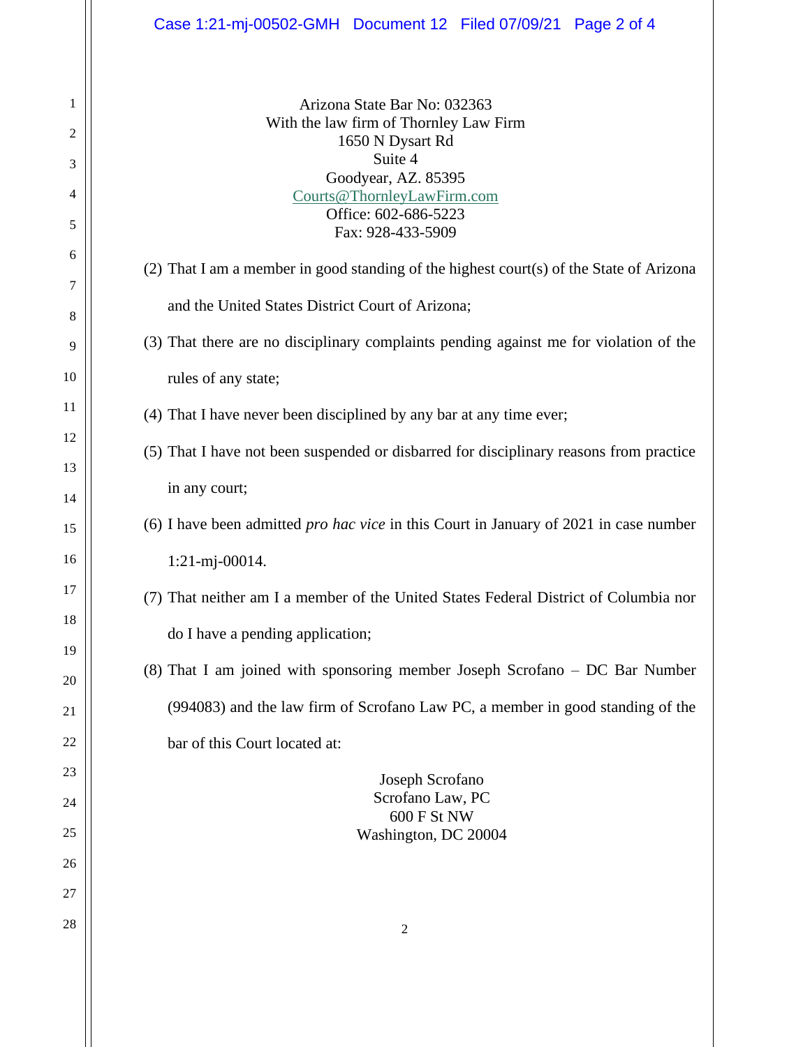## Case 1:21-mj-00502-GMH Document 12 Filed 07/09/21 Page 2 of 4

Arizona State Bar No: 032363 With the law firm of Thornley Law Firm 1650 N Dysart Rd Suite 4 Goodyear, AZ. 85395 Courts@ThornleyLawFirm.com Office: 602-686-5223 Fax: 928-433-5909

- (2) That I am a member in good standing of the highest court(s) of the State of Arizona and the United States District Court of Arizona;
- (3) That there are no disciplinary complaints pending against me for violation of the rules of any state;
- (4) That I have never been disciplined by any bar at any time ever;
- (5) That I have not been suspended or disbarred for disciplinary reasons from practice in any court;
- (6) I have been admitted *pro hac vice* in this Court in January of 2021 in case number 1:21-mj-00014.
- (7) That neither am I a member of the United States Federal District of Columbia nor do I have a pending application;
- (8) That I am joined with sponsoring member Joseph Scrofano DC Bar Number (994083) and the law firm of Scrofano Law PC, a member in good standing of the bar of this Court located at:

Joseph Scrofano Scrofano Law, PC 600 F St NW Washington, DC 20004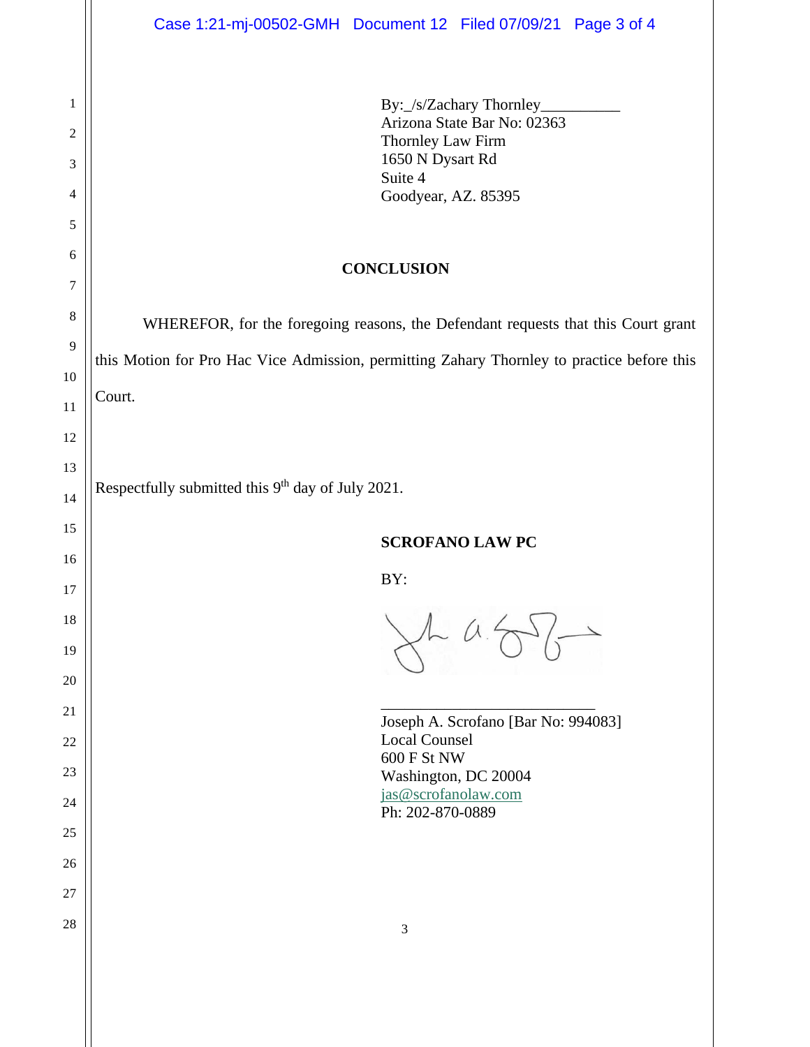By:\_/s/Zachary Thornley\_ Arizona State Bar No: 02363 Thornley Law Firm 1650 N Dysart Rd Suite 4 Goodyear, AZ. 85395

## **CONCLUSION**

WHEREFOR, for the foregoing reasons, the Defendant requests that this Court grant this Motion for Pro Hac Vice Admission, permitting Zahary Thornley to practice before this Court.

Respectfully submitted this  $9<sup>th</sup>$  day of July 2021.

BY:

 $A\alpha$ 

\_\_\_\_\_\_\_\_\_\_\_\_\_\_\_\_\_\_\_\_\_\_\_\_\_\_\_

| Joseph A. Scrofano [Bar No: 994083] |
|-------------------------------------|
| Local Counsel                       |
| 600 F St NW                         |
| Washington, DC 20004                |
| jas@scrofanolaw.com                 |
| Ph: 202-870-0889                    |
|                                     |